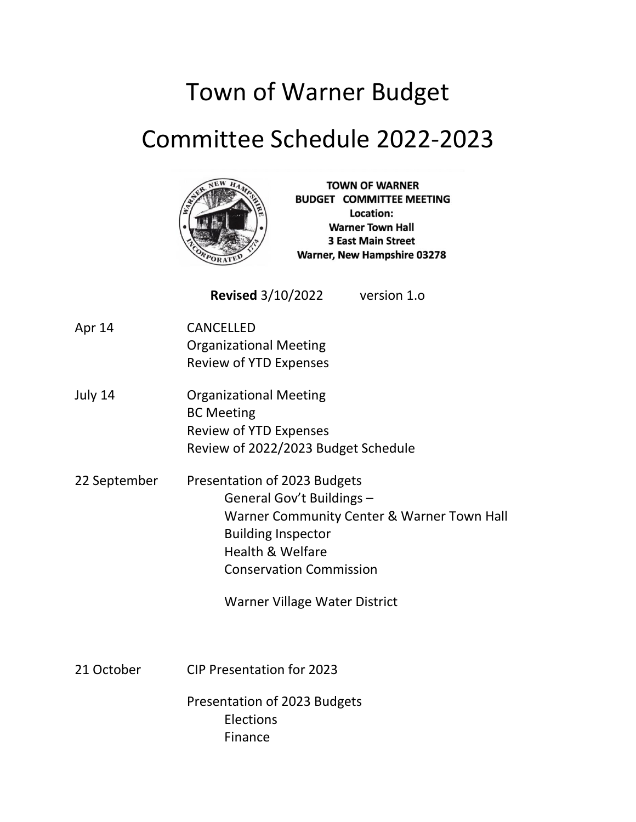# Town of Warner Budget

## Committee Schedule 2022-2023



**TOWN OF WARNER BUDGET COMMITTEE MEETING** Location: **Warner Town Hall 3 East Main Street** Warner, New Hampshire 03278

**Revised** 3/10/2022 version 1.o

- Apr 14 CANCELLED Organizational Meeting Review of YTD Expenses
- July 14 Organizational Meeting BC Meeting Review of YTD Expenses Review of 2022/2023 Budget Schedule
- 22 September Presentation of 2023 Budgets General Gov't Buildings – Warner Community Center & Warner Town Hall Building Inspector Health & Welfare Conservation Commission

Warner Village Water District

21 October CIP Presentation for 2023

Presentation of 2023 Budgets Elections Finance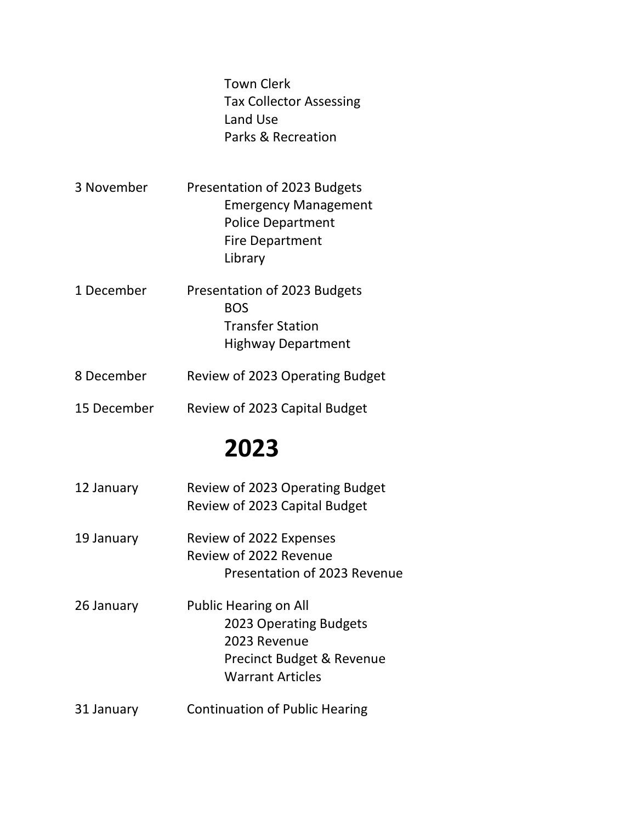|             | <b>Town Clerk</b><br><b>Tax Collector Assessing</b><br>Land Use<br>Parks & Recreation                                                     |
|-------------|-------------------------------------------------------------------------------------------------------------------------------------------|
| 3 November  | Presentation of 2023 Budgets<br><b>Emergency Management</b><br><b>Police Department</b><br><b>Fire Department</b><br>Library              |
| 1 December  | Presentation of 2023 Budgets<br><b>BOS</b><br><b>Transfer Station</b><br><b>Highway Department</b>                                        |
| 8 December  | Review of 2023 Operating Budget                                                                                                           |
| 15 December | Review of 2023 Capital Budget                                                                                                             |
|             | 2023                                                                                                                                      |
| 12 January  | Review of 2023 Operating Budget<br>Review of 2023 Capital Budget                                                                          |
| 19 January  | Review of 2022 Expenses<br>Review of 2022 Revenue<br>Presentation of 2023 Revenue                                                         |
| 26 January  | <b>Public Hearing on All</b><br>2023 Operating Budgets<br>2023 Revenue<br><b>Precinct Budget &amp; Revenue</b><br><b>Warrant Articles</b> |

31 January Continuation of Public Hearing